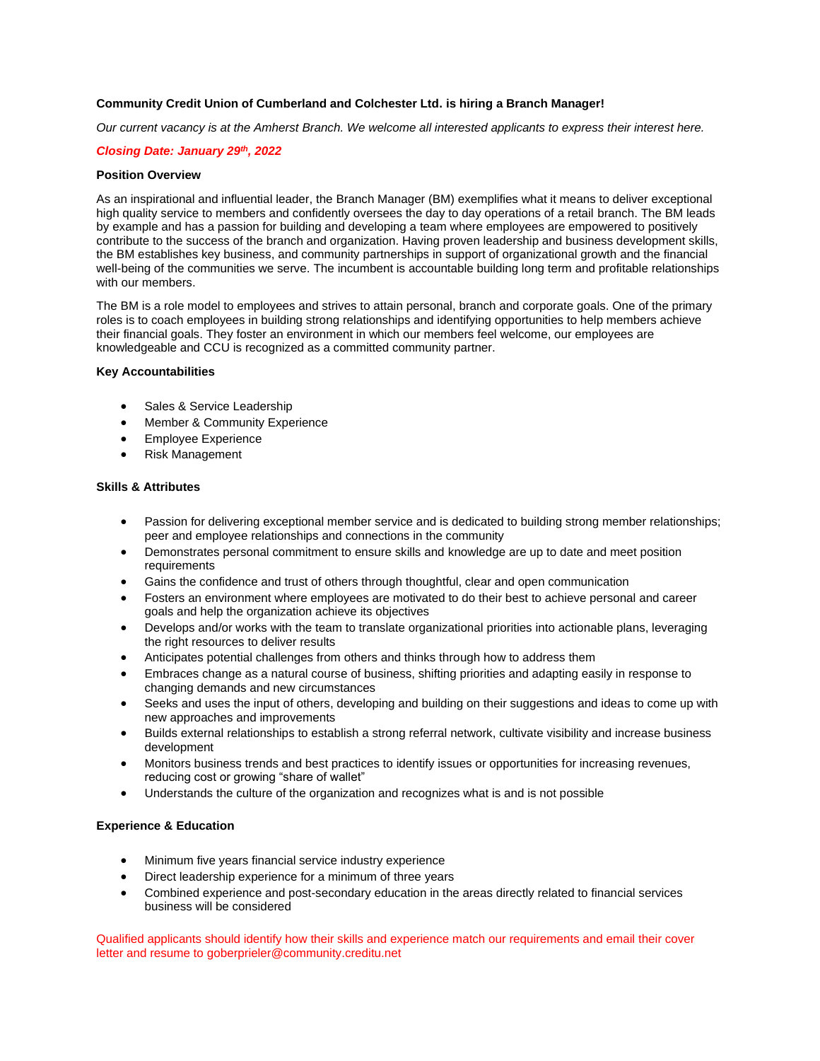## **Community Credit Union of Cumberland and Colchester Ltd. is hiring a Branch Manager!**

*Our current vacancy is at the Amherst Branch. We welcome all interested applicants to express their interest here.*

## *Closing Date: January 29th, 2022*

# **Position Overview**

As an inspirational and influential leader, the Branch Manager (BM) exemplifies what it means to deliver exceptional high quality service to members and confidently oversees the day to day operations of a retail branch. The BM leads by example and has a passion for building and developing a team where employees are empowered to positively contribute to the success of the branch and organization. Having proven leadership and business development skills, the BM establishes key business, and community partnerships in support of organizational growth and the financial well-being of the communities we serve. The incumbent is accountable building long term and profitable relationships with our members.

The BM is a role model to employees and strives to attain personal, branch and corporate goals. One of the primary roles is to coach employees in building strong relationships and identifying opportunities to help members achieve their financial goals. They foster an environment in which our members feel welcome, our employees are knowledgeable and CCU is recognized as a committed community partner.

#### **Key Accountabilities**

- Sales & Service Leadership
- Member & Community Experience
- Employee Experience
- Risk Management

### **Skills & Attributes**

- Passion for delivering exceptional member service and is dedicated to building strong member relationships; peer and employee relationships and connections in the community
- Demonstrates personal commitment to ensure skills and knowledge are up to date and meet position requirements
- Gains the confidence and trust of others through thoughtful, clear and open communication
- Fosters an environment where employees are motivated to do their best to achieve personal and career goals and help the organization achieve its objectives
- Develops and/or works with the team to translate organizational priorities into actionable plans, leveraging the right resources to deliver results
- Anticipates potential challenges from others and thinks through how to address them
- Embraces change as a natural course of business, shifting priorities and adapting easily in response to changing demands and new circumstances
- Seeks and uses the input of others, developing and building on their suggestions and ideas to come up with new approaches and improvements
- Builds external relationships to establish a strong referral network, cultivate visibility and increase business development
- Monitors business trends and best practices to identify issues or opportunities for increasing revenues, reducing cost or growing "share of wallet"
- Understands the culture of the organization and recognizes what is and is not possible

## **Experience & Education**

- Minimum five years financial service industry experience
- Direct leadership experience for a minimum of three years
- Combined experience and post-secondary education in the areas directly related to financial services business will be considered

Qualified applicants should identify how their skills and experience match our requirements and email their cover letter and resume to goberprieler@community.creditu.net